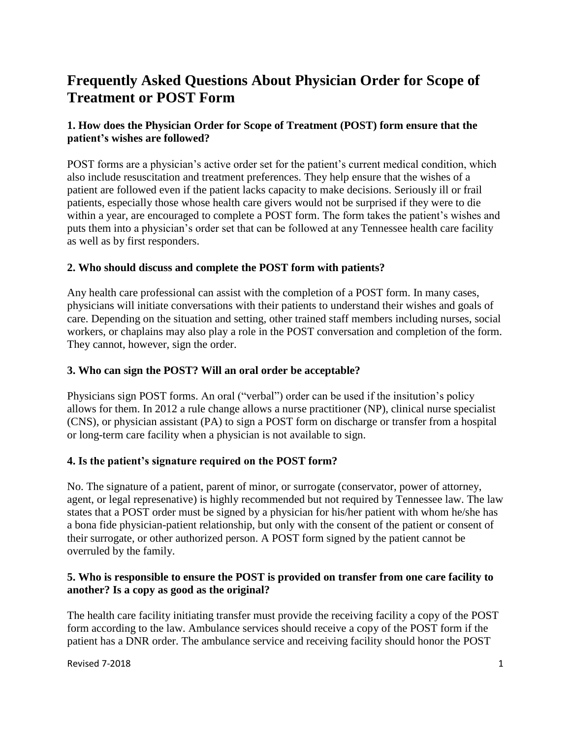# **Frequently Asked Questions About Physician Order for Scope of Treatment or POST Form**

# **1. How does the Physician Order for Scope of Treatment (POST) form ensure that the patient's wishes are followed?**

POST forms are a physician's active order set for the patient's current medical condition, which also include resuscitation and treatment preferences. They help ensure that the wishes of a patient are followed even if the patient lacks capacity to make decisions. Seriously ill or frail patients, especially those whose health care givers would not be surprised if they were to die within a year, are encouraged to complete a POST form. The form takes the patient's wishes and puts them into a physician's order set that can be followed at any Tennessee health care facility as well as by first responders.

### **2. Who should discuss and complete the POST form with patients?**

Any health care professional can assist with the completion of a POST form. In many cases, physicians will initiate conversations with their patients to understand their wishes and goals of care. Depending on the situation and setting, other trained staff members including nurses, social workers, or chaplains may also play a role in the POST conversation and completion of the form. They cannot, however, sign the order.

#### **3. Who can sign the POST? Will an oral order be acceptable?**

Physicians sign POST forms. An oral ("verbal") order can be used if the insitution's policy allows for them. In 2012 a rule change allows a nurse practitioner (NP), clinical nurse specialist (CNS), or physician assistant (PA) to sign a POST form on discharge or transfer from a hospital or long-term care facility when a physician is not available to sign.

# **4. Is the patient's signature required on the POST form?**

No. The signature of a patient, parent of minor, or surrogate (conservator, power of attorney, agent, or legal represenative) is highly recommended but not required by Tennessee law. The law states that a POST order must be signed by a physician for his/her patient with whom he/she has a bona fide physician-patient relationship, but only with the consent of the patient or consent of their surrogate, or other authorized person. A POST form signed by the patient cannot be overruled by the family.

### **5. Who is responsible to ensure the POST is provided on transfer from one care facility to another? Is a copy as good as the original?**

The health care facility initiating transfer must provide the receiving facility a copy of the POST form according to the law. Ambulance services should receive a copy of the POST form if the patient has a DNR order. The ambulance service and receiving facility should honor the POST

Revised 7-2018 **1**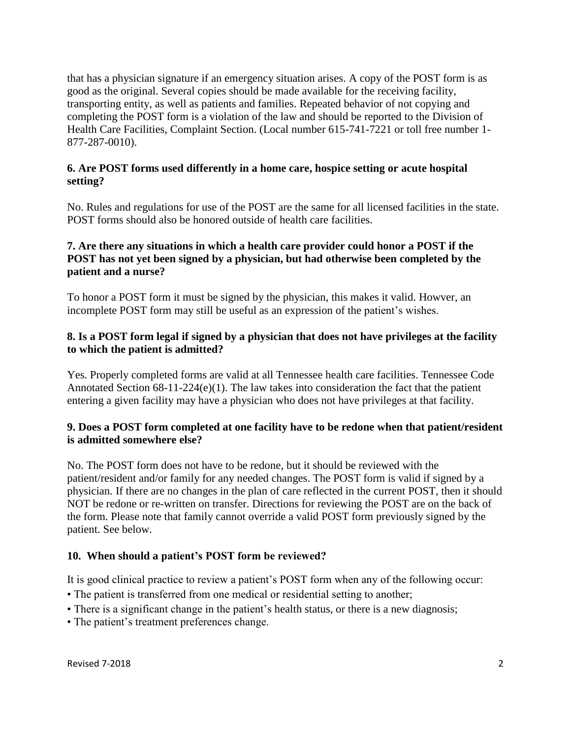that has a physician signature if an emergency situation arises. A copy of the POST form is as good as the original. Several copies should be made available for the receiving facility, transporting entity, as well as patients and families. Repeated behavior of not copying and completing the POST form is a violation of the law and should be reported to the Division of Health Care Facilities, Complaint Section. (Local number 615-741-7221 or toll free number 1- 877-287-0010).

# **6. Are POST forms used differently in a home care, hospice setting or acute hospital setting?**

No. Rules and regulations for use of the POST are the same for all licensed facilities in the state. POST forms should also be honored outside of health care facilities.

# **7. Are there any situations in which a health care provider could honor a POST if the POST has not yet been signed by a physician, but had otherwise been completed by the patient and a nurse?**

To honor a POST form it must be signed by the physician, this makes it valid. Howver, an incomplete POST form may still be useful as an expression of the patient's wishes.

## **8. Is a POST form legal if signed by a physician that does not have privileges at the facility to which the patient is admitted?**

Yes. Properly completed forms are valid at all Tennessee health care facilities. Tennessee Code Annotated Section 68-11-224(e)(1). The law takes into consideration the fact that the patient entering a given facility may have a physician who does not have privileges at that facility.

# **9. Does a POST form completed at one facility have to be redone when that patient/resident is admitted somewhere else?**

No. The POST form does not have to be redone, but it should be reviewed with the patient/resident and/or family for any needed changes. The POST form is valid if signed by a physician. If there are no changes in the plan of care reflected in the current POST, then it should NOT be redone or re-written on transfer. Directions for reviewing the POST are on the back of the form. Please note that family cannot override a valid POST form previously signed by the patient. See below.

# **10. When should a patient's POST form be reviewed?**

It is good clinical practice to review a patient's POST form when any of the following occur:

- The patient is transferred from one medical or residential setting to another;
- There is a significant change in the patient's health status, or there is a new diagnosis;
- The patient's treatment preferences change.